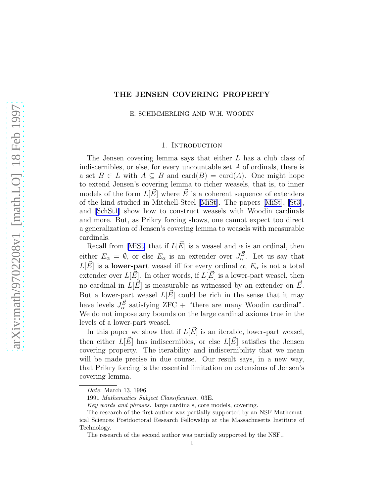## THE JENSEN COVERING PROPERTY

E. SCHIMMERLING AND W.H. WOODIN

#### 1. INTRODUCTION

The Jensen covering lemma says that either L has a club class of indiscernibles, or else, for every uncountable set A of ordinals, there is a set  $B \in L$  with  $A \subseteq B$  and  $card(B) = card(A)$ . One might hope to extend Jensen's covering lemma to richer weasels, that is, to inner models of the form  $L[\vec{E}]$  where  $\vec{E}$  is a coherent sequence of extenders of the kind studied in Mitchell-Steel [\[MiSt](#page-22-0)]. The papers[[MiSt\]](#page-22-0),[[St3\]](#page-23-0), and [\[SchSt1](#page-22-0)] show how to construct weasels with Woodin cardinals and more. But, as Prikry forcing shows, one cannot expect too direct a generalization of Jensen's covering lemma to weasels with measurable cardinals.

Recallfrom [[MiSt\]](#page-22-0) that if  $L[\vec{E}]$  is a weasel and  $\alpha$  is an ordinal, then either  $E_{\alpha} = \emptyset$ , or else  $E_{\alpha}$  is an extender over  $J_{\alpha}^{\vec{E}}$ . Let us say that  $L[\vec{E}]$  is a lower-part weasel iff for every ordinal  $\alpha$ ,  $E_{\alpha}$  is not a total extender over  $L[\vec{E}]$ . In other words, if  $L[\vec{E}]$  is a lower-part weasel, then no cardinal in  $L[\vec{E}]$  is measurable as witnessed by an extender on  $\vec{E}$ . But a lower-part weasel  $L[\vec{E}]$  could be rich in the sense that it may have levels  $J_{\alpha}^{\vec{E}}$  satisfying ZFC + "there are many Woodin cardinal". We do not impose any bounds on the large cardinal axioms true in the levels of a lower-part weasel.

In this paper we show that if  $L[\vec{E}]$  is an iterable, lower-part weasel, then either  $L[\vec{E}]$  has indiscernibles, or else  $L[\vec{E}]$  satisfies the Jensen covering property. The iterability and indiscernibility that we mean will be made precise in due course. Our result says, in a new way, that Prikry forcing is the essential limitation on extensions of Jensen's covering lemma.

Date: March 13, 1996.

<sup>1991</sup> Mathematics Subject Classification. 03E.

Key words and phrases. large cardinals, core models, covering.

The research of the first author was partially supported by an NSF Mathematical Sciences Postdoctoral Research Fellowship at the Massachusetts Institute of Technology.

The research of the second author was partially supported by the NSF..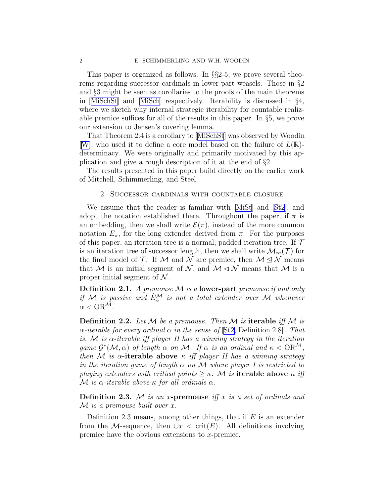This paper is organized as follows. In §§2-5, we prove several theorems regarding successor cardinals in lower-part weasels. Those in §2 and §3 might be seen as corollaries to the proofs of the main theorems in[[MiSchSt\]](#page-22-0) and [\[MiSch](#page-22-0)] respectively. Iterability is discussed in §4, where we sketch why internal strategic iterability for countable realizable premice suffices for all of the results in this paper. In §5, we prove our extension to Jensen's covering lemma.

That Theorem 2.4 is a corollary to[[MiSchSt](#page-22-0)] was observed by Woodin [[W\]](#page-23-0), who used it to define a core model based on the failure of  $L(\mathbb{R})$ determinacy. We were originally and primarily motivated by this application and give a rough description of it at the end of §2.

The results presented in this paper build directly on the earlier work of Mitchell, Schimmerling, and Steel.

### 2. Successor cardinals with countable closure

We assume that the reader is familiar with [\[MiSt](#page-22-0)] and [\[St2](#page-23-0)], and adopt the notation established there. Throughout the paper, if  $\pi$  is an embedding, then we shall write  $\mathcal{E}(\pi)$ , instead of the more common notation  $E_{\pi}$ , for the long extender derived from  $\pi$ . For the purposes of this paper, an iteration tree is a normal, padded iteration tree. If  $\mathcal T$ is an iteration tree of successor length, then we shall write  $\mathcal{M}_{\infty}(\mathcal{T})$  for the final model of  $\mathcal T$ . If M and N are premice, then  $\mathcal M \subseteq \mathcal N$  means that M is an initial segment of N, and  $\mathcal{M} \lhd \mathcal{N}$  means that M is a proper initial segment of  $N$ .

**Definition 2.1.** A premouse  $M$  is a lower-part premouse if and only if M is passive and  $\dot{E}^{\mathcal{M}}_{\alpha}$  is not a total extender over M whenever  $\alpha <$  OR<sup>M</sup>.

**Definition 2.2.** Let  $M$  be a premouse. Then  $M$  is **iterable** iff  $M$  is  $\alpha$ -iterable for every ordinal  $\alpha$  in the sense of [[St2,](#page-23-0) Definition 2.8]. That is, M is  $\alpha$ -iterable iff player II has a winning strategy in the iteration game  $\mathcal{G}^*(\mathcal{M}, \alpha)$  of length  $\alpha$  on  $\mathcal{M}$ . If  $\alpha$  is an ordinal and  $\kappa < \mathrm{OR}^{\mathcal{M}}$ , then M is  $\alpha$ -iterable above  $\kappa$  iff player II has a winning strategy in the iteration game of length  $\alpha$  on M where player I is restricted to playing extenders with critical points  $\geq \kappa$ . M is **iterable above**  $\kappa$  iff M is  $\alpha$ -iterable above  $\kappa$  for all ordinals  $\alpha$ .

**Definition 2.3.** M is an x-premouse iff x is a set of ordinals and  $\mathcal M$  is a premouse built over x.

Definition 2.3 means, among other things, that if  $E$  is an extender from the M-sequence, then  $\cup x < \text{crit}(E)$ . All definitions involving premice have the obvious extensions to x-premice.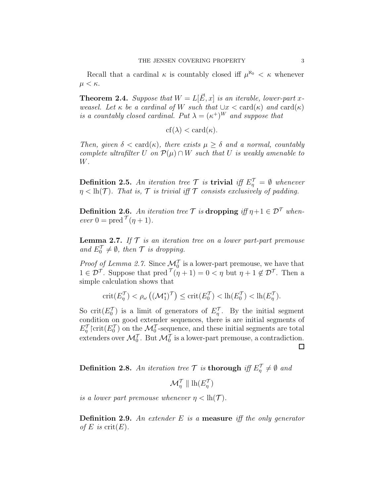Recall that a cardinal  $\kappa$  is countably closed iff  $\mu^{\aleph_0} < \kappa$  whenever  $\mu < \kappa$ .

**Theorem 2.4.** Suppose that  $W = L[\vec{E}, x]$  is an iterable, lower-part xweasel. Let  $\kappa$  be a cardinal of W such that  $\bigcup x < \text{card}(\kappa)$  and  $\text{card}(\kappa)$ is a countably closed cardinal. Put  $\lambda = (\kappa^+)^W$  and suppose that

$$
cf(\lambda) < \operatorname{card}(\kappa).
$$

Then, given  $\delta < \text{card}(\kappa)$ , there exists  $\mu \geq \delta$  and a normal, countably complete ultrafilter U on  $\mathcal{P}(\mu) \cap W$  such that U is weakly amenable to W.

**Definition 2.5.** An iteration tree  $\mathcal{T}$  is **trivial** iff  $E_{\eta}^{\mathcal{T}} = \emptyset$  whenever  $\eta$  < lh(T). That is, T is trivial iff T consists exclusively of padding.

**Definition 2.6.** An iteration tree  $\mathcal{T}$  is dropping iff  $\eta + 1 \in \mathcal{D}^{\mathcal{T}}$  when- $\operatorname{ever} 0 = \operatorname{pred} \mathcal{T}(\eta + 1).$ 

**Lemma 2.7.** If  $T$  is an iteration tree on a lower part-part premouse and  $E_0^{\mathcal{T}} \neq \emptyset$ , then  $\mathcal{T}$  is dropping.

*Proof of Lemma 2.7.* Since  $\mathcal{M}_0^{\mathcal{T}}$  is a lower-part premouse, we have that  $1 \in \mathcal{D}^{\mathcal{T}}$ . Suppose that  $\text{pred}^{\mathcal{T}}(\eta + 1) = 0 < \eta$  but  $\eta + 1 \notin \mathcal{D}^{\mathcal{T}}$ . Then a simple calculation shows that

$$
\textnormal{crit}(E^{\mathcal{T}}_{\eta})<\rho_{\omega}\left((\mathcal{M}^*_1)^{\mathcal{T}}\right)\leq \textnormal{crit}(E^{\mathcal{T}}_0)<\textnormal{lh}(E^{\mathcal{T}}_0)<\textnormal{lh}(E^{\mathcal{T}}_{\eta}).
$$

So crit $(E_0^{\mathcal{T}})$  is a limit of generators of  $E_{\eta}^{\mathcal{T}}$ . By the initial segment condition on good extender sequences, there is are initial segments of  $E_{\eta}^{\mathcal{T}}$  crit $(E_0^{\mathcal{T}})$  on the  $\mathcal{M}_0^{\mathcal{T}}$ -sequence, and these initial segments are total extenders over  $\mathcal{M}_0^{\mathcal{T}}$ . But  $\mathcal{M}_0^{\mathcal{T}}$  is a lower-part premouse, a contradiction.  $\Box$ 

**Definition 2.8.** An iteration tree  $\mathcal T$  is thorough iff  $E_{\eta}^{\mathcal T} \neq \emptyset$  and

 $\mathcal{M}_{\eta}^{\mathcal{T}}\parallel\mathrm{lh}(E_{\eta}^{\mathcal{T}})$ 

is a lower part premouse whenever  $\eta < \mathrm{lh}(\mathcal{T})$ .

**Definition 2.9.** An extender  $E$  is a **measure** if the only generator of E is  $\mathrm{crit}(E)$ .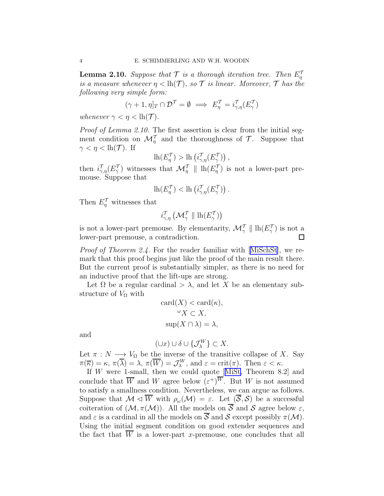**Lemma 2.10.** Suppose that  $\mathcal{T}$  is a thorough iteration tree. Then  $E_{\eta}^{\mathcal{T}}$ is a measure whenever  $\eta < \mathrm{lh}(\mathcal{T})$ , so  $\mathcal T$  is linear. Moreover,  $\mathcal T$  has the following very simple form:

$$
(\gamma + 1, \eta]_T \cap \mathcal{D}^{\mathcal{T}} = \emptyset \implies E^{\mathcal{T}}_{\eta} = i^{\mathcal{T}}_{\gamma, \eta} (E^{\mathcal{T}}_{\gamma})
$$

whenever  $\gamma < \eta < \ln(\mathcal{T})$ .

Proof of Lemma 2.10. The first assertion is clear from the initial segment condition on  $\mathcal{M}_{\eta}^{\mathcal{T}}$  and the thoroughness of  $\mathcal{T}$ . Suppose that  $\gamma < \eta < \mathrm{lh}(\mathcal{T})$ . If

$$
\mathrm{lh} (E^{\mathcal{T}}_\eta) > \mathrm{lh} \left( i^{\mathcal{T}}_{\gamma,\eta}(E^{\mathcal{T}}_\gamma) \right),
$$

then  $i_{\gamma,\eta}^{\mathcal{T}}(E_{\gamma}^{\mathcal{T}})$  witnesses that  $\mathcal{M}_{\eta}^{\mathcal{T}} \parallel \mathrm{lh}(E_{\eta}^{\mathcal{T}})$  is not a lower-part premouse. Suppose that

$$
\mathrm{lh} (E^{\mathcal T}_\eta) < \mathrm{lh} \left( i^{\mathcal T}_{\gamma,\eta} (E^{\mathcal T}_\gamma) \right).
$$

Then  $E_{\eta}^{\mathcal{T}}$  witnesses that

$$
i_{\gamma,\eta}^{\mathcal{T}}\left(\mathcal{M}_{\gamma}^{\mathcal{T}} \parallel \mathrm{lh} (E_{\gamma}^{\mathcal{T}})\right)
$$

is not a lower-part premouse. By elementarity,  $\mathcal{M}_{\gamma}^{\mathcal{T}} \parallel \mathrm{lh}(E_{\gamma}^{\mathcal{T}})$  is not a lower-part premouse, a contradiction.  $\Box$ 

Proof of Theorem 2.4. For the reader familiar with [\[MiSchSt\]](#page-22-0), we remark that this proof begins just like the proof of the main result there. But the current proof is substantially simpler, as there is no need for an inductive proof that the lift-ups are strong.

Let  $\Omega$  be a regular cardinal  $>\lambda$ , and let X be an elementary substructure of  $V_{\Omega}$  with

$$
card(X) < card(\kappa),
$$
  
\n
$$
\omega X \subset X,
$$
  
\n
$$
sup(X \cap \lambda) = \lambda,
$$

and

$$
(\cup x)\cup \delta \cup \{\mathcal{J}_\lambda^W\}\subset X.
$$

Let  $\pi : N \longrightarrow V_{\Omega}$  be the inverse of the transitive collapse of X. Say  $\pi(\overline{\kappa}) = \kappa, \, \pi(\overline{\lambda}) = \lambda, \, \pi(\overline{W}) = \mathcal{J}_{\lambda}^{W}, \, \text{and} \, \varepsilon = \text{crit}(\pi). \text{ Then } \varepsilon < \kappa.$ 

If W were 1-small, then we could quote[[MiSt,](#page-22-0) Theorem 8.2] and conclude that  $\overline{W}$  and W agree below  $(\varepsilon^+)^W$ . But W is not assumed to satisfy a smallness condition. Nevertheless, we can argue as follows. Suppose that  $\mathcal{M} \triangleleft \overline{W}$  with  $\rho_\omega(\mathcal{M}) = \varepsilon$ . Let  $(\overline{\mathcal{S}}, \mathcal{S})$  be a successful coiteration of  $(M, \pi(M))$ . All the models on  $\overline{S}$  and S agree below  $\varepsilon$ , and  $\varepsilon$  is a cardinal in all the models on  $\overline{S}$  and  $S$  except possibly  $\pi(\mathcal{M})$ . Using the initial segment condition on good extender sequences and the fact that  $\overline{W}$  is a lower-part x-premouse, one concludes that all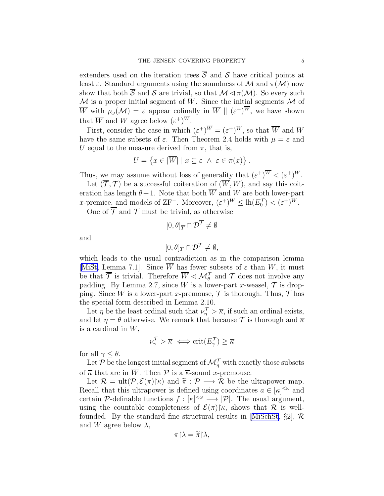extenders used on the iteration trees  $\overline{S}$  and  $S$  have critical points at least  $\varepsilon$ . Standard arguments using the soundness of M and  $\pi(\mathcal{M})$  now show that both  $\overline{S}$  and  $S$  are trivial, so that  $\mathcal{M} \lhd \pi(\mathcal{M})$ . So every such  $\mathcal M$  is a proper initial segment of W. Since the initial segments  $\mathcal M$  of W with  $\rho_\omega(\mathcal{M}) = \varepsilon$  appear cofinally in  $\overline{W} \parallel (\varepsilon^+)^W$ , we have shown that  $\overline{W}$  and  $W$  agree below  $(\varepsilon^+)^W$ .

First, consider the case in which  $(\varepsilon^+)^W = (\varepsilon^+)^W$ , so that  $\overline{W}$  and W have the same subsets of  $\varepsilon$ . Then Theorem 2.4 holds with  $\mu = \varepsilon$  and U equal to the measure derived from  $\pi$ , that is,

$$
U = \left\{ x \in |\overline{W}| \mid x \subseteq \varepsilon \ \wedge \ \varepsilon \in \pi(x) \right\}.
$$

Thus, we may assume without loss of generality that  $({\varepsilon}^+)^W < ({\varepsilon}^+)^W$ .

Let  $(\overline{\mathcal{T}}, \mathcal{T})$  be a successful coiteration of  $(\overline{W}, W)$ , and say this coiteration has length  $\theta + 1$ . Note that both  $\overline{W}$  and W are both lower-part x-premice, and models of ZF<sup>-</sup>. Moreover,  $(\varepsilon^+)^W \leq \ln(E_0^{\mathcal{T}}) < (\varepsilon^+)^W$ .

One of  $\overline{\mathcal{T}}$  and  $\mathcal{T}$  must be trivial, as otherwise

$$
[0,\theta]_{\overline{T}} \cap \mathcal{D}^{\overline{T}} \neq \emptyset
$$

and

$$
[0,\theta]_T\cap \mathcal{D}^{\mathcal{T}}\neq \emptyset,
$$

which leads to the usual contradiction as in the comparison lemma [[MiSt,](#page-22-0) Lemma 7.1]. Since  $\overline{W}$  has fewer subsets of  $\varepsilon$  than W, it must be that  $\overline{\mathcal{T}}$  is trivial. Therefore  $\overline{W} \lhd \mathcal{M}_{\theta}^{\mathcal{T}}$  and  $\mathcal{T}$  does not involve any padding. By Lemma 2.7, since W is a lower-part x-weasel,  $\mathcal T$  is dropping. Since  $\overline{W}$  is a lower-part x-premouse,  $\mathcal T$  is thorough. Thus,  $\mathcal T$  has the special form described in Lemma 2.10.

Let  $\eta$  be the least ordinal such that  $\nu_{\eta}^{\mathcal{T}} > \overline{\kappa}$ , if such an ordinal exists, and let  $\eta = \theta$  otherwise. We remark that because  $\mathcal T$  is thorough and  $\overline{\kappa}$ is a cardinal in  $\overline{W}$ ,

$$
\nu_\gamma^{\mathcal T} > \overline{\kappa} \iff \mathrm{crit}(E_\gamma^{\mathcal T}) \geq \overline{\kappa}
$$

for all  $\gamma \leq \theta$ .

Let  $\mathcal P$  be the longest initial segment of  $\mathcal M_\eta^\mathcal T$  with exactly those subsets of  $\overline{\kappa}$  that are in  $\overline{W}$ . Then  $\mathcal P$  is a  $\overline{\kappa}$ -sound x-premouse.

Let  $\mathcal{R} = \text{ult}(\mathcal{P}, \mathcal{E}(\pi) | \kappa)$  and  $\tilde{\pi} : \mathcal{P} \longrightarrow \mathcal{R}$  be the ultrapower map. Recall that this ultrapower is defined using coordinates  $a \in [\kappa]^{<\omega}$  and certain P-definable functions  $f : [\kappa]^{<\omega} \longrightarrow |\mathcal{P}|$ . The usual argument, using the countable completeness of  $\mathcal{E}(\pi)\upharpoonright \kappa$ , shows that  $\mathcal R$  is well-founded.By the standard fine structural results in [[MiSchSt](#page-22-0),  $\S2$ ],  $\mathcal{R}$ and W agree below  $\lambda$ ,

$$
\pi\!\upharpoonright\!\lambda=\widetilde{\pi}\!\upharpoonright\!\lambda,
$$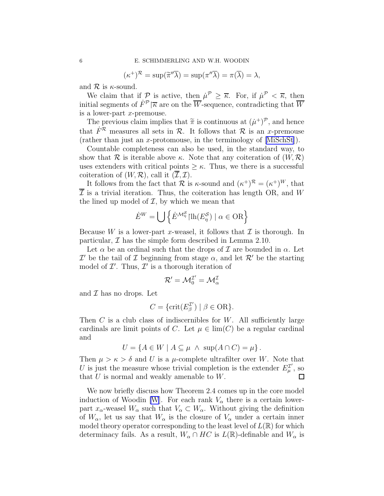$$
(\kappa^+)^{\mathcal{R}} = \sup(\widetilde{\pi}'' \overline{\lambda}) = \sup(\pi'' \overline{\lambda}) = \pi(\overline{\lambda}) = \lambda,
$$

and  $\mathcal R$  is  $\kappa$ -sound.

We claim that if P is active, then  $\mu^{\mathcal{P}} \geq \overline{\kappa}$ . For, if  $\mu^{\mathcal{P}} < \overline{\kappa}$ , then initial segments of  $\dot{F}^{\mathcal{P}}|\overline{\kappa}$  are on the W-sequence, contradicting that  $\overline{W}$ is a lower-part  $x$ -premouse.

The previous claim implies that  $\tilde{\pi}$  is continuous at  $(\mu^+)^{\mathcal{P}}$ , and hence that  $\dot{F}^R$  measures all sets in  $R$ . It follows that R is an x-premouse (rather than just an x-protomouse, in the terminology of [\[MiSchSt\]](#page-22-0)).

Countable completeness can also be used, in the standard way, to show that  $\mathcal R$  is iterable above  $\kappa$ . Note that any coiteration of  $(W,\mathcal R)$ uses extenders with critical points  $\geq \kappa$ . Thus, we there is a successful coiteration of  $(W, \mathcal{R})$ , call it  $(\mathcal{I}, \mathcal{I})$ .

It follows from the fact that  $\mathcal R$  is  $\kappa$ -sound and  $(\kappa^+)^{\mathcal R} = (\kappa^+)^W$ , that  $\overline{\mathcal{I}}$  is a trivial iteration. Thus, the coiteration has length OR, and W the lined up model of  $I$ , by which we mean that

$$
\dot{E}^W = \bigcup \left\{ \dot{E}^{\mathcal{M}^{\mathcal{S}}_{\eta}} | \text{lh}(E^{\mathcal{S}}_{\eta}) \mid \alpha \in \text{OR} \right\}
$$

Because W is a lower-part x-weasel, it follows that  $\mathcal I$  is thorough. In particular,  $\mathcal I$  has the simple form described in Lemma 2.10.

Let  $\alpha$  be an ordinal such that the drops of  $\mathcal I$  are bounded in  $\alpha$ . Let  $\mathcal{I}'$  be the tail of  $\mathcal I$  beginning from stage  $\alpha$ , and let  $\mathcal{R}'$  be the starting model of  $\mathcal{I}'$ . Thus,  $\mathcal{I}'$  is a thorough iteration of

$$
\mathcal{R}'=\mathcal{M}^{\mathcal{I}'}_0=\mathcal{M}^{\mathcal{I}}_\alpha
$$

and  $\mathcal I$  has no drops. Let

$$
C = \{ \text{crit}(E_{\beta}^{\mathcal{I}'}) \mid \beta \in \text{OR} \}.
$$

Then  $C$  is a club class of indiscernibles for  $W$ . All sufficiently large cardinals are limit points of C. Let  $\mu \in \lim(C)$  be a regular cardinal and

$$
U = \{ A \in W \mid A \subseteq \mu \ \land \ \sup(A \cap C) = \mu \} .
$$

Then  $\mu > \kappa > \delta$  and U is a  $\mu$ -complete ultrafilter over W. Note that U is just the measure whose trivial completion is the extender  $E_u^{\mathcal{I}'}$  $_{\mu}^{\mathcal{I}^{\prime}},$  so that  $U$  is normal and weakly amenable to  $W$ .

We now briefly discuss how Theorem 2.4 comes up in the core model induction of Woodin [\[W](#page-23-0)]. For each rank  $V_{\alpha}$  there is a certain lowerpart  $x_{\alpha}$ -weasel  $W_{\alpha}$  such that  $V_{\alpha} \subset W_{\alpha}$ . Without giving the definition of  $W_{\alpha}$ , let us say that  $W_{\alpha}$  is the closure of  $V_{\alpha}$  under a certain inner model theory operator corresponding to the least level of  $L(\mathbb{R})$  for which determinacy fails. As a result,  $W_\alpha \cap HC$  is  $L(\mathbb{R})$ -definable and  $W_\alpha$  is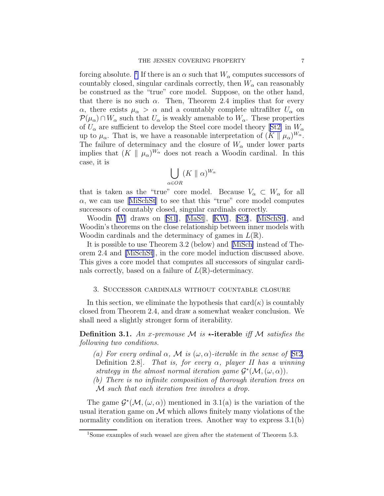forcing absolute. <sup>1</sup> If there is an  $\alpha$  such that  $W_{\alpha}$  computes successors of countably closed, singular cardinals correctly, then  $W_{\alpha}$  can reasonably be construed as the "true" core model. Suppose, on the other hand, that there is no such  $\alpha$ . Then, Theorem 2.4 implies that for every  $\alpha$ , there exists  $\mu_{\alpha} > \alpha$  and a countably complete ultrafilter  $U_{\alpha}$  on  $\mathcal{P}(\mu_{\alpha}) \cap W_{\alpha}$  such that  $U_{\alpha}$  is weakly amenable to  $W_{\alpha}$ . These properties of $U_{\alpha}$  are sufficient to develop the Steel core model theory [[St2\]](#page-23-0) in  $W_{\alpha}$ up to  $\mu_{\alpha}$ . That is, we have a reasonable interpretation of  $(K \parallel \mu_{\alpha})^{W_{\alpha}}$ . The failure of determinacy and the closure of  $W_{\alpha}$  under lower parts implies that  $(K \parallel \mu_\alpha)^{W_\alpha}$  does not reach a Woodin cardinal. In this case, it is

$$
\bigcup_{\alpha \in OR} (K \parallel \alpha)^{W_{\alpha}}
$$

that is taken as the "true" core model. Because  $V_{\alpha} \subset W_{\alpha}$  for all  $\alpha$ ,we can use [[MiSchSt](#page-22-0)] to see that this "true" core model computes successors of countably closed, singular cardinals correctly.

Woodin [\[W](#page-23-0)] draws on[[St1\]](#page-23-0),[[MaSt](#page-22-0)], [\[KW](#page-22-0)], [\[St2](#page-23-0)],[[MiSchSt\]](#page-22-0), and Woodin's theorems on the close relationship between inner models with Woodin cardinals and the determinacy of games in  $L(\mathbb{R})$ .

It is possible to use Theorem 3.2 (below) and[[MiSch\]](#page-22-0) instead of Theorem 2.4 and [\[MiSchSt](#page-22-0)], in the core model induction discussed above. This gives a core model that computes all successors of singular cardinals correctly, based on a failure of  $L(\mathbb{R})$ -determinacy.

### 3. Successor cardinals without countable closure

In this section, we eliminate the hypothesis that  $card(\kappa)$  is countably closed from Theorem 2.4, and draw a somewhat weaker conclusion. We shall need a slightly stronger form of iterability.

**Definition 3.1.** An x-premouse M is  $\star$ -iterable iff M satisfies the following two conditions.

(a) For every ordinal  $\alpha$ , M is  $(\omega, \alpha)$ -iterable in the sense of [\[St2](#page-23-0), Definition 2.8. That is, for every  $\alpha$ , player II has a winning strategy in the almost normal iteration game  $\mathcal{G}^*(\mathcal{M}, (\omega, \alpha)).$ 

(b) There is no infinite composition of thorough iteration trees on M such that each iteration tree involves a drop.

The game  $\mathcal{G}^*(\mathcal{M}, (\omega, \alpha))$  mentioned in 3.1(a) is the variation of the usual iteration game on  $M$  which allows finitely many violations of the normality condition on iteration trees. Another way to express  $3.1(b)$ 

<sup>&</sup>lt;sup>1</sup>Some examples of such weasel are given after the statement of Theorem 5.3.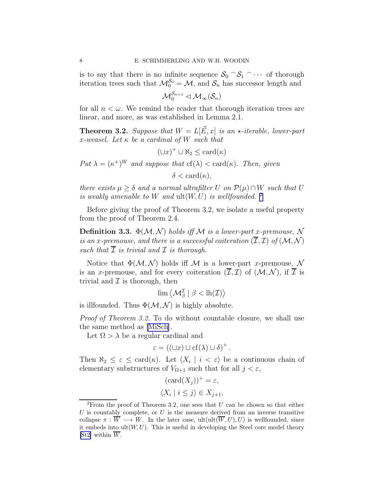is to say that there is no infinite sequence  $S_0 \cap S_1 \cap \cdots$  of thorough iteration trees such that  $\mathcal{M}_0^{\mathcal{S}_0} = \mathcal{M}$ , and  $\mathcal{S}_n$  has successor length and

$$
{\mathcal M}_0^{{\mathcal S}_{n+1}} \lhd {\mathcal M}_{\infty}({\mathcal S}_n)
$$

for all  $n < \omega$ . We remind the reader that thorough iteration trees are linear, and more, as was established in Lemma 2.1.

**Theorem 3.2.** Suppose that  $W = L[\vec{E}, x]$  is an  $\star$ -iterable, lower-part x-weasel. Let  $\kappa$  be a cardinal of W such that

 $(\cup x)^+ \cup \aleph_2 \leq \operatorname{card}(\kappa)$ 

Put  $\lambda = (\kappa^+)^W$  and suppose that  $cf(\lambda) < \text{card}(\kappa)$ . Then, given

 $\delta < \text{card}(\kappa)$ .

there exists  $\mu \geq \delta$  and a normal ultrafilter U on  $\mathcal{P}(\mu) \cap W$  such that U is weakly amenable to  $W$  and  $ult(W, U)$  is wellfounded. <sup>2</sup>

Before giving the proof of Theorem 3.2, we isolate a useful property from the proof of Theorem 2.4.

**Definition 3.3.**  $\Phi(\mathcal{M}, \mathcal{N})$  holds iff M is a lower-part x-premouse, N is an x-premouse, and there is a successful coiteration  $(\overline{\mathcal{I}},\mathcal{I})$  of  $(\mathcal{M},\mathcal{N})$ such that  $\overline{\mathcal{I}}$  is trivial and  $\mathcal{I}$  is thorough.

Notice that  $\Phi(M, \mathcal{N})$  holds iff M is a lower-part x-premouse, N is an x-premouse, and for every coiteration  $(\overline{\mathcal{I}}, \mathcal{I})$  of  $(\mathcal{M}, \mathcal{N})$ , if  $\overline{\mathcal{I}}$  is trivial and  $\mathcal I$  is thorough, then

$$
\lim \left\langle \mathcal{M}_{\beta}^{\mathcal{I}} \mid \beta < \mathrm{lh}(\mathcal{I}) \right\rangle
$$

is illfounded. Thus  $\Phi(\mathcal{M}, \mathcal{N})$  is highly absolute.

Proof of Theorem 3.2. To do without countable closure, we shall use the same method as [\[MiSch](#page-22-0)].

Let  $\Omega > \lambda$  be a regular cardinal and

$$
\varepsilon = ((\cup x) \cup \text{cf}(\lambda) \cup \delta)^+.
$$

Then  $\aleph_2 \leq \varepsilon \leq \text{card}(\kappa)$ . Let  $\langle X_i | i \langle \varepsilon \rangle$  be a continuous chain of elementary substructures of  $V_{\Omega+1}$  such that for all  $j < \varepsilon$ ,

$$
(\text{card}(X_j))^+ = \varepsilon,
$$
  

$$
\langle X_i \mid i \le j \rangle \in X_{j+1},
$$

<sup>&</sup>lt;sup>2</sup>From the proof of Theorem 3.2, one sees that  $U$  can be chosen so that either  $U$  is countably complete, or  $U$  is the measure derived from an inverse transitive collapse  $\pi : \overline{W} \longrightarrow W$ . In the later case, ult $(\overline{W}, U), U$  is wellfounded, since it embeds into  $ult(W, U)$ . This is useful in developing the Steel core model theory [\[St2\]](#page-23-0) within  $\overline{W}$ .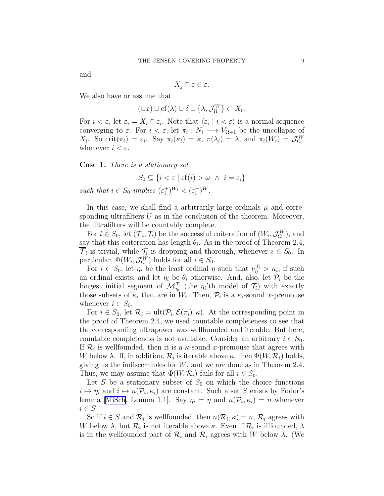and

$$
X_j \cap \varepsilon \in \varepsilon.
$$

We also have or assume that

$$
(\cup x)\cup \mathrm{cf}(\lambda)\cup \delta\cup \{\lambda,\mathcal{J}_{\Omega}^{W}\}\subset X_{0}.
$$

For  $i < \varepsilon$ , let  $\varepsilon_i = X_i \cap \varepsilon_i$ . Note that  $\langle \varepsilon_i | i < \varepsilon \rangle$  is a normal sequence converging to  $\varepsilon$ . For  $i < \varepsilon$ , let  $\pi_i : N_i \longrightarrow V_{\Omega+1}$  be the uncollapse of  $X_i$ . So crit $(\pi_i) = \varepsilon_i$ . Say  $\pi_i(\kappa_i) = \kappa$ ,  $\pi(\lambda_i) = \lambda$ , and  $\pi_i(W_i) = \mathcal{J}_{\Omega}^W$ whenever  $i < \varepsilon$ .

Case 1. There is a stationary set

$$
S_0 \subseteq \{ i < \varepsilon \mid \text{cf}(i) > \omega \ \land \ i = \varepsilon_i \}
$$

such that  $i \in S_0$  implies  $(\varepsilon_i^+)^{W_i} < (\varepsilon_i^+)^W$ .

In this case, we shall find a arbitrarily large ordinals  $\mu$  and corresponding ultrafilters  $U$  as in the conclusion of the theorem. Moreover, the ultrafilters will be countably complete.

For  $i \in S_0$ , let  $(\overline{\mathcal{T}}_i, \mathcal{T}_i)$  be the successful coiteration of  $(W_i, \mathcal{J}_\Omega^W)$ , and say that this coiteration has length  $\theta_i$ . As in the proof of Theorem 2.4,  $\mathcal{T}_i$  is trivial, while  $\mathcal{T}_i$  is dropping and thorough, whenever  $i \in S_0$ . In particular,  $\Phi(W_i, \mathcal{J}_{\Omega}^W)$  holds for all  $i \in S_0$ .

For  $i \in S_0$ , let  $\eta_i$  be the least ordinal  $\eta$  such that  $\nu_{\eta}^{\mathcal{T}_i} > \kappa_i$ , if such an ordinal exists, and let  $\eta_i$  be  $\theta_i$  otherwise. And, also, let  $\mathcal{P}_i$  be the longest initial segment of  $\mathcal{M}_{\eta_i}^{\mathcal{T}_i}$  (the  $\eta_i$ 'th model of  $\mathcal{T}_i$ ) with exactly those subsets of  $\kappa_i$  that are in  $W_i$ . Then,  $\mathcal{P}_i$  is a  $\kappa_i$ -sound x-premouse whenever  $i \in S_0$ .

For  $i \in S_0$ , let  $\mathcal{R}_i = \text{ult}(\mathcal{P}_i, \mathcal{E}(\pi_i) | \kappa)$ . At the corresponding point in the proof of Theorem 2.4, we used countable completeness to see that the corresponding ultrapower was wellfounded and iterable. But here, countable completeness is not available. Consider an arbitrary  $i \in S_0$ . If  $\mathcal{R}_i$  is wellfounded, then it is a  $\kappa$ -sound x-premouse that agrees with W below  $\lambda$ . If, in addition,  $\mathcal{R}_i$  is iterable above  $\kappa$ , then  $\Phi(W, \mathcal{R}_i)$  holds, giving us the indiscernibles for  $W$ , and we are done as in Theorem 2.4. Thus, we may assume that  $\Phi(W, \mathcal{R}_i)$  fails for all  $i \in S_0$ .

Let S be a stationary subset of  $S_0$  on which the choice functions  $i \mapsto \eta_i$  and  $i \mapsto n(\mathcal{P}_i, \kappa_i)$  are constant. Such a set S exists by Fodor's lemma [\[MiSch](#page-22-0), Lemma 1.1]. Say  $\eta_i = \eta$  and  $n(\mathcal{P}_i, \kappa_i) = n$  whenever  $i \in S$ .

So if  $i \in S$  and  $\mathcal{R}_i$  is wellfounded, then  $n(\mathcal{R}_i, \kappa) = n$ ,  $\mathcal{R}_i$  agrees with W below  $\lambda$ , but  $\mathcal{R}_i$  is not iterable above  $\kappa$ . Even if  $\mathcal{R}_i$  is illfounded,  $\lambda$ is in the wellfounded part of  $\mathcal{R}_i$  and  $\mathcal{R}_i$  agrees with W below  $\lambda$ . (We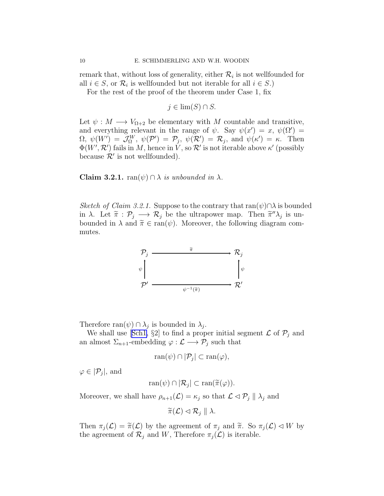remark that, without loss of generality, either  $\mathcal{R}_i$  is not wellfounded for all  $i \in S$ , or  $\mathcal{R}_i$  is wellfounded but not iterable for all  $i \in S$ .)

For the rest of the proof of the theorem under Case 1, fix

$$
j \in \lim(S) \cap S.
$$

Let  $\psi : M \longrightarrow V_{\Omega+2}$  be elementary with M countable and transitive, and everything relevant in the range of  $\psi$ . Say  $\psi(x') = x, \psi(\Omega') = x'$  $\Omega, \ \psi(W') = \mathcal{J}_{\Omega}^W, \ \psi(\mathcal{P}') = \mathcal{P}_j, \ \psi(\mathcal{R}') = \mathcal{R}_j, \text{ and } \ \psi(\kappa') = \kappa. \text{ Then}$  $\Phi(W', \mathcal{R}')$  fails in M, hence in V, so  $\mathcal{R}'$  is not iterable above  $\kappa'$  (possibly because  $\mathcal{R}'$  is not wellfounded).

Claim 3.2.1.  $\text{ran}(\psi) \cap \lambda$  is unbounded in  $\lambda$ .

Sketch of Claim 3.2.1. Suppose to the contrary that  $ran(\psi) \cap \lambda$  is bounded in  $\lambda$ . Let  $\widetilde{\pi}: \mathcal{P}_j \longrightarrow \mathcal{R}_j$  be the ultrapower map. Then  $\widetilde{\pi}''\lambda_j$  is unbounded in  $\lambda$  and  $\tilde{\pi} \in \text{ran}(\psi)$ . Moreover, the following diagram commutes.



Therefore  $\text{ran}(\psi) \cap \lambda_j$  is bounded in  $\lambda_j$ .

Weshall use [[Sch1,](#page-22-0) §2] to find a proper initial segment  $\mathcal L$  of  $\mathcal P_j$  and an almost  $\Sigma_{n+1}$ -embedding  $\varphi : \mathcal{L} \longrightarrow \mathcal{P}_j$  such that

$$
\operatorname{ran}(\psi) \cap |\mathcal{P}_j| \subset \operatorname{ran}(\varphi),
$$

 $\varphi \in |\mathcal{P}_j|$ , and

$$
\operatorname{ran}(\psi) \cap |\mathcal{R}_j| \subset \operatorname{ran}(\widetilde{\pi}(\varphi)).
$$

Moreover, we shall have  $\rho_{n+1}(\mathcal{L}) = \kappa_j$  so that  $\mathcal{L} \triangleleft \mathcal{P}_j || \lambda_j$  and

 $\widetilde{\pi}(\mathcal{L}) \triangleleft \mathcal{R}_i \parallel \lambda.$ 

Then  $\pi_j(\mathcal{L}) = \tilde{\pi}(\mathcal{L})$  by the agreement of  $\pi_j$  and  $\tilde{\pi}$ . So  $\pi_j(\mathcal{L}) \lhd W$  by the agreement of  $\mathcal{R}_j$  and W, Therefore  $\pi_j(\mathcal{L})$  is iterable.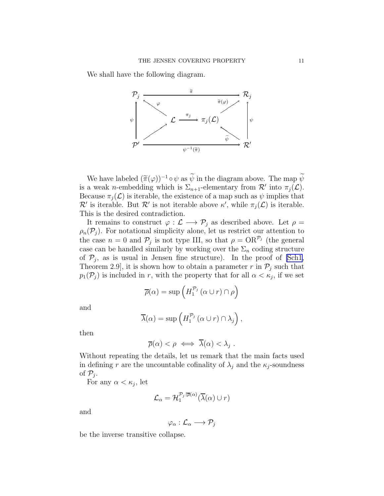We shall have the following diagram.



We have labeled  $(\tilde{\pi}(\varphi))^{-1} \circ \psi$  as  $\tilde{\psi}$  in the diagram above. The map  $\tilde{\psi}$ is a weak *n*-embedding which is  $\Sigma_{n+1}$ -elementary from  $\mathcal{R}'$  into  $\pi_j(\mathcal{L})$ . Because  $\pi_i(\mathcal{L})$  is iterable, the existence of a map such as  $\psi$  implies that  $\mathcal{R}'$  is iterable. But  $\mathcal{R}'$  is not iterable above  $\kappa'$ , while  $\pi_j(\mathcal{L})$  is iterable. This is the desired contradiction.

It remains to construct  $\varphi : \mathcal{L} \longrightarrow \mathcal{P}_j$  as described above. Let  $\rho =$  $\rho_n(\mathcal{P}_i)$ . For notational simplicity alone, let us restrict our attention to the case  $n = 0$  and  $P_j$  is not type III, so that  $\rho = \mathrm{OR}^{\mathcal{P}_j}$  (the general case can be handled similarly by working over the  $\Sigma_n$  coding structure of  $P_j$ , as is usual in Jensen fine structure). In the proof of [\[Sch1](#page-22-0), Theorem 2.9, it is shown how to obtain a parameter r in  $\mathcal{P}_i$  such that  $p_1(\mathcal{P}_j)$  is included in r, with the property that for all  $\alpha < \kappa_j$ , if we set

$$
\overline{\rho}(\alpha) = \sup \left( H_1^{\mathcal{P}_j} \left( \alpha \cup r \right) \cap \rho \right)
$$

and

$$
\overline{\lambda}(\alpha) = \sup \left( H_1^{\mathcal{P}_j} \left( \alpha \cup r \right) \cap \lambda_j \right),
$$

then

$$
\overline{\rho}(\alpha) < \rho \iff \overline{\lambda}(\alpha) < \lambda_j.
$$

Without repeating the details, let us remark that the main facts used in defining r are the uncountable cofinality of  $\lambda_j$  and the  $\kappa_j$ -soundness of  $\mathcal{P}_j$ .

For any  $\alpha < \kappa_j$ , let

$$
\mathcal{L}_{\alpha} = \mathcal{H}_{1}^{\mathcal{P}_{j}|\overline{\rho}(\alpha)}(\overline{\lambda}(\alpha) \cup r)
$$

and

$$
\varphi_\alpha:\mathcal{L}_\alpha\longrightarrow \mathcal{P}_j
$$

be the inverse transitive collapse.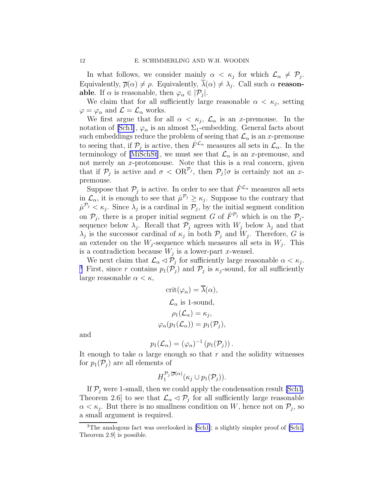In what follows, we consider mainly  $\alpha < \kappa_j$  for which  $\mathcal{L}_{\alpha} \neq \mathcal{P}_j$ . Equivalently,  $\overline{\rho}(\alpha) \neq \rho$ . Equivalently,  $\lambda(\alpha) \neq \lambda_j$ . Call such  $\alpha$  reason**able**. If  $\alpha$  is reasonable, then  $\varphi_{\alpha} \in |\mathcal{P}_j|$ .

We claim that for all sufficiently large reasonable  $\alpha < \kappa_j$ , setting  $\varphi = \varphi_\alpha$  and  $\mathcal{L} = \mathcal{L}_\alpha$  works.

We first argue that for all  $\alpha < \kappa_j$ ,  $\mathcal{L}_{\alpha}$  is an x-premouse. In the notation of [\[Sch1\]](#page-22-0),  $\varphi_{\alpha}$  is an almost  $\Sigma_1$ -embedding. General facts about such embeddings reduce the problem of seeing that  $\mathcal{L}_{\alpha}$  is an x-premouse to seeing that, if  $\mathcal{P}_j$  is active, then  $\dot{F}^{\mathcal{L}_{\alpha}}$  measures all sets in  $\mathcal{L}_{\alpha}$ . In the terminology of [\[MiSchSt](#page-22-0)], we must see that  $\mathcal{L}_{\alpha}$  is an x-premouse, and not merely an x-protomouse. Note that this is a real concern, given that if  $\mathcal{P}_j$  is active and  $\sigma < \text{OR}^{\mathcal{P}_j}$ , then  $\mathcal{P}_j$  |σ is certainly not an xpremouse.

Suppose that  $\mathcal{P}_j$  is active. In order to see that  $\dot{F}^{\mathcal{L}_{\alpha}}$  measures all sets in  $\mathcal{L}_{\alpha}$ , it is enough to see that  $\mu^{\mathcal{P}_j} \geq \kappa_j$ . Suppose to the contrary that  $\mu^{\mathcal{P}_j} < \kappa_j$ . Since  $\lambda_j$  is a cardinal in  $\mathcal{P}_j$ , by the initial segment condition on  $\mathcal{P}_j$ , there is a proper initial segment G of  $\dot{F}^{\mathcal{P}_j}$  which is on the  $\mathcal{P}_j$ sequence below  $\lambda_j$ . Recall that  $\mathcal{P}_j$  agrees with  $W_j$  below  $\lambda_j$  and that  $\lambda_j$  is the successor cardinal of  $\kappa_j$  in both  $\mathcal{P}_j$  and  $W_j$ . Therefore, G is an extender on the  $W_j$ -sequence which measures all sets in  $W_j$ . This is a contradiction because  $W_j$  is a lower-part x-weasel.

We next claim that  $\mathcal{L}_{\alpha} \lhd \mathcal{P}_j$  for sufficiently large reasonable  $\alpha < \kappa_j$ . <sup>3</sup> First, since r contains  $p_1(\mathcal{P}_j)$  and  $\mathcal{P}_j$  is  $\kappa_j$ -sound, for all sufficiently large reasonable  $\alpha < \kappa$ ,

$$
crit(\varphi_{\alpha}) = \lambda(\alpha),
$$
  

$$
\mathcal{L}_{\alpha} \text{ is 1-sound},
$$
  

$$
\rho_1(\mathcal{L}_{\alpha}) = \kappa_j,
$$
  

$$
\varphi_{\alpha}(p_1(\mathcal{L}_{\alpha})) = p_1(\mathcal{P}_j),
$$

and

$$
p_1(\mathcal{L}_{\alpha}) = (\varphi_{\alpha})^{-1} (p_1(\mathcal{P}_j)).
$$

It enough to take  $\alpha$  large enough so that r and the solidity witnesses for  $p_1(\mathcal{P}_i)$  are all elements of

$$
H_1^{\mathcal{P}_j|\overline{\rho}(\alpha)}(\kappa_j\cup p_1(\mathcal{P}_j)).
$$

If  $P_i$  were 1-small, then we could apply the condensation result [\[Sch1](#page-22-0), Theorem 2.6 to see that  $\mathcal{L}_{\alpha} \lhd \mathcal{P}_{j}$  for all sufficiently large reasonable  $\alpha < \kappa_j$ . But there is no smallness condition on W, hence not on  $\mathcal{P}_j$ , so a small argument is required.

<sup>&</sup>lt;sup>3</sup>The analogous fact was overlooked in [\[Sch1\]](#page-22-0); a slightly simpler proof of [\[Sch1,](#page-22-0) Theorem 2.9] is possible.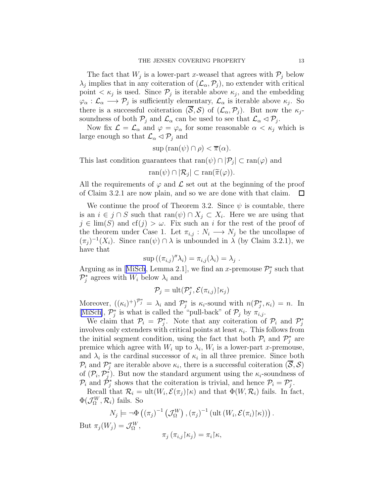The fact that  $W_j$  is a lower-part x-weasel that agrees with  $\mathcal{P}_j$  below  $\lambda_j$  implies that in any coiteration of  $(\mathcal{L}_{\alpha}, \mathcal{P}_j)$ , no extender with critical point  $\langle \kappa_j \rangle$  is used. Since  $\mathcal{P}_j$  is iterable above  $\kappa_j$ , and the embedding  $\varphi_{\alpha}: \mathcal{L}_{\alpha} \longrightarrow \mathcal{P}_{j}$  is sufficiently elementary,  $\mathcal{L}_{\alpha}$  is iterable above  $\kappa_{j}$ . So there is a successful coiteration  $(S, S)$  of  $(\mathcal{L}_{\alpha}, \mathcal{P}_{i})$ . But now the  $\kappa_{i}$ soundness of both  $P_j$  and  $\mathcal{L}_{\alpha}$  can be used to see that  $\mathcal{L}_{\alpha} \lhd P_j$ .

Now fix  $\mathcal{L} = \mathcal{L}_{\alpha}$  and  $\varphi = \varphi_{\alpha}$  for some reasonable  $\alpha < \kappa_j$  which is large enough so that  $\mathcal{L}_{\alpha} \triangleleft \mathcal{P}_j$  and

$$
sup (ran(\psi) \cap \rho) < \overline{\pi}(\alpha).
$$

This last condition guarantees that  $ran(\psi) \cap |\mathcal{P}_j| \subset ran(\varphi)$  and

$$
\operatorname{ran}(\psi) \cap |\mathcal{R}_j| \subset \operatorname{ran}(\widetilde{\pi}(\varphi)).
$$

All the requirements of  $\varphi$  and  $\mathcal L$  set out at the beginning of the proof of Claim 3.2.1 are now plain, and so we are done with that claim.  $\Box$ 

We continue the proof of Theorem 3.2. Since  $\psi$  is countable, there is an  $i \in j \cap S$  such that  $ran(\psi) \cap X_j \subset X_i$ . Here we are using that  $j \in \text{lim}(S)$  and  $cf(j) > \omega$ . Fix such an i for the rest of the proof of the theorem under Case 1. Let  $\pi_{i,j}: N_i \longrightarrow N_j$  be the uncollapse of  $(\pi_j)^{-1}(X_i)$ . Since ran $(\psi) \cap \lambda$  is unbounded in  $\lambda$  (by Claim 3.2.1), we have that

$$
\sup ((\pi_{i,j})'' \lambda_i) = \pi_{i,j}(\lambda_i) = \lambda_j.
$$

Arguingas in [[MiSch](#page-22-0), Lemma 2.1], we find an x-premouse  $\mathcal{P}_{j}^{*}$  such that  $\mathcal{P}_j^*$  agrees with  $W_i$  below  $\lambda_i$  and

$$
\mathcal{P}_j = \text{ult}(\mathcal{P}_j^*, \mathcal{E}(\pi_{i,j}) | \kappa_j)
$$

Moreover,  $((\kappa_i)^+)^{\mathcal{P}_j^*} = \lambda_i$  and  $\mathcal{P}_j^*$  is  $\kappa_i$ -sound with  $n(\mathcal{P}_j^*, \kappa_i) = n$ . In [[MiSch\]](#page-22-0),  $\mathcal{P}_j^*$  is what is called the "pull-back" of  $\mathcal{P}_j$  by  $\pi_{i,j}$ .

We claim that  $\mathcal{P}_i = \mathcal{P}_j^*$ . Note that any coiteration of  $\mathcal{P}_i$  and  $\mathcal{P}_j^*$ involves only extenders with critical points at least  $\kappa_i$ . This follows from the initial segment condition, using the fact that both  $\mathcal{P}_i$  and  $\mathcal{P}_j^*$  are premice which agree with  $W_i$  up to  $\lambda_i$ ,  $W_i$  is a lower-part *x*-premouse, and  $\lambda_i$  is the cardinal successor of  $\kappa_i$  in all three premice. Since both  $\mathcal{P}_i$  and  $\mathcal{P}_j^*$  are iterable above  $\kappa_i$ , there is a successful coiteration  $(\overline{\mathcal{S}}, \mathcal{S})$ of  $(\mathcal{P}_i, \mathcal{P}_j^*)$ . But now the standard argument using the  $\kappa_i$ -soundness of  $\mathcal{P}_i$  and  $\mathcal{P}_j^*$  shows that the coiteration is trivial, and hence  $\mathcal{P}_i = \mathcal{P}_j^*$ .

Recall that  $\mathcal{R}_i = \text{ult}(W_i, \mathcal{E}(\pi_j) | \kappa)$  and that  $\Phi(W, \mathcal{R}_i)$  fails. In fact,  $\Phi(\mathcal{J}_{\Omega}^{W}, \mathcal{R}_{i})$  fails. So

$$
N_j \models \neg \Phi((\pi_j)^{-1} (\mathcal{J}_{\Omega}^W), (\pi_j)^{-1} (\text{ult}(W_i, \mathcal{E}(\pi_i) \upharpoonright \kappa)))
$$
  

$$
\neg (W_i) = \mathcal{J}_i^W
$$

But  $\pi_j(W_j) = \mathcal{J}_{\Omega}^W$ ,

.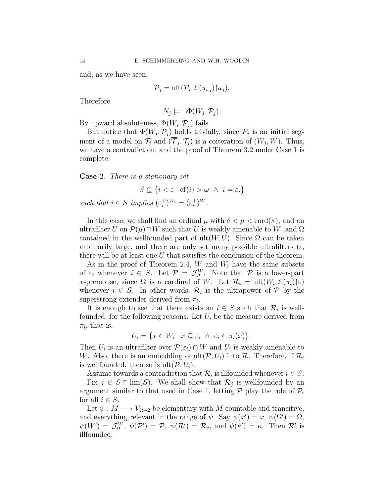and, as we have seen,

$$
\mathcal{P}_j = \text{ult}(\mathcal{P}_i, \mathcal{E}(\pi_{i,j}) | \kappa_j).
$$

Therefore

$$
N_j \models \neg \Phi(W_j, \mathcal{P}_j).
$$

By upward absoluteness,  $\Phi(W_j, \mathcal{P}_j)$  fails.

But notice that  $\Phi(W_j, \mathcal{P}_j)$  holds trivially, since  $P_j$  is an initial segment of a model on  $\mathcal{T}_j$  and  $(\mathcal{T}_j, \mathcal{T}_j)$  is a coiteration of  $(W_j, W)$ . Thus, we have a contradiction, and the proof of Theorem 3.2 under Case 1 is complete.

Case 2. There is a stationary set

$$
S \subseteq \{i < \varepsilon \mid cf(i) > \omega \ \land \ i = \varepsilon_i\}
$$

such that  $i \in S$  implies  $(\varepsilon_i^+)^{W_i} = (\varepsilon_i^+)^W$ .

In this case, we shall find an ordinal  $\mu$  with  $\delta < \mu < \text{card}(\kappa)$ , and an ultrafilter U on  $\mathcal{P}(\mu) \cap W$  such that U is weakly amenable to W, and  $\Omega$ contained in the wellfounded part of  $ult(W, U)$ . Since  $\Omega$  can be taken arbitrarily large, and there are only set many possible ultrafilters U, there will be at least one  $U$  that satisfies the conclusion of the theorem.

As in the proof of Theorem 2.4,  $W$  and  $W_i$  have the same subsets of  $\varepsilon_i$  whenever  $i \in S$ . Let  $\mathcal{P} = \mathcal{J}_{\Omega}^W$ . Note that  $\mathcal{P}$  is a lower-part x-premouse, since  $\Omega$  is a cardinal of W. Let  $\mathcal{R}_i = \text{ult}(W_i, \mathcal{E}(\pi_i) | \varepsilon)$ whenever  $i \in S$ . In other words,  $\mathcal{R}_i$  is the ultrapower of  $\mathcal{P}$  by the superstrong extender derived from  $\pi_i$ .

It is enough to see that there exists an  $i \in S$  such that  $\mathcal{R}_i$  is wellfounded, for the following reasons. Let  $U_i$  be the measure derived from  $\pi_i$ , that is,

$$
U_i = \{ x \in W_i \mid x \subseteq \varepsilon_i \ \land \ \varepsilon_i \in \pi_i(x) \} .
$$

Then  $U_i$  is an ultrafilter over  $\mathcal{P}(\varepsilon_i) \cap W$  and  $U_i$  is weakly amenable to W. Also, there is an embedding of  $ult(\mathcal{P}, U_i)$  into  $\mathcal{R}$ . Therefore, if  $\mathcal{R}_i$ is wellfounded, then so is  $ult(P, U_i)$ .

Assume towards a contradiction that  $\mathcal{R}_i$  is illfounded whenever  $i \in S$ .

Fix  $j \in S \cap \lim(S)$ . We shall show that  $\mathcal{R}_j$  is wellfounded by an argument similar to that used in Case 1, letting  $P$  play the role of  $P_i$ for all  $i \in S$ .

Let  $\psi: M \longrightarrow V_{\Omega+2}$  be elementary with M countable and transitive, and everything relevant in the range of  $\psi$ . Say  $\psi(x') = x$ ,  $\psi(\Omega') = \Omega$ ,  $\psi(W') = \mathcal{J}_{\Omega}^W$ ,  $\psi(\mathcal{P}') = \mathcal{P}$ ,  $\psi(\mathcal{R}') = \mathcal{R}_j$ , and  $\psi(\kappa') = \kappa$ . Then  $\mathcal{R}'$  is illfounded.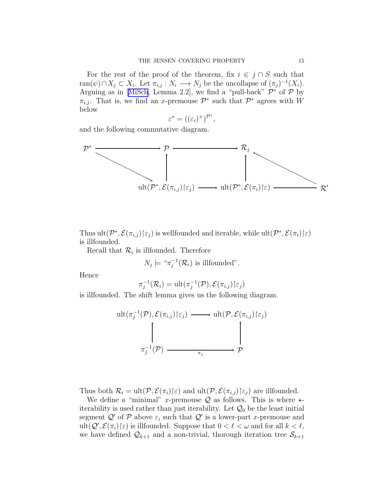For the rest of the proof of the theorem, fix  $i \in j \cap S$  such that ran $(\psi) \cap X_j \subset X_i$ . Let  $\pi_{i,j} : N_i \longrightarrow N_j$  be the uncollapse of  $(\pi_j)^{-1}(X_i)$ . Arguingas in [[MiSch](#page-22-0), Lemma 2.2], we find a "pull-back"  $\mathcal{P}^*$  of  $\mathcal{P}$  by  $\pi_{i,j}$ . That is, we find an x-premouse  $\mathcal{P}^*$  such that  $\mathcal{P}^*$  agrees with W below

$$
\varepsilon^* = ((\varepsilon_i)^+)^{\mathcal{P}^*},
$$

and the following commutative diagram.

$$
\mathcal{P}^* \longrightarrow \mathcal{P} \longrightarrow \mathcal{R}_j
$$
\n
$$
\downarrow \qquad \qquad \downarrow \qquad \qquad \downarrow
$$
\n
$$
\downarrow \qquad \qquad \downarrow
$$
\n
$$
\downarrow \qquad \qquad \downarrow
$$
\n
$$
\downarrow \qquad \qquad \downarrow
$$
\n
$$
\downarrow \qquad \qquad \downarrow
$$
\n
$$
\downarrow \qquad \qquad \downarrow
$$
\n
$$
\downarrow \qquad \qquad \downarrow
$$
\n
$$
\downarrow \qquad \qquad \downarrow
$$
\n
$$
\downarrow \qquad \qquad \downarrow
$$
\n
$$
\downarrow \qquad \qquad \downarrow
$$
\n
$$
\downarrow \qquad \qquad \downarrow
$$
\n
$$
\downarrow \qquad \qquad \downarrow
$$
\n
$$
\downarrow \qquad \qquad \downarrow
$$

Thus ult $(\mathcal{P}^*, \mathcal{E}(\pi_{i,j}) | \varepsilon_j)$  is wellfounded and iterable, while ult $(\mathcal{P}^*, \mathcal{E}(\pi_i) | \varepsilon)$ is illfounded.

Recall that  $\mathcal{R}_i$  is illfounded. Therefore

$$
N_j \models {\text{``}\pi_j^{-1}(\mathcal{R}_i)}
$$
 is illfounded".

Hence

$$
\pi_j^{-1}(\mathcal{R}_i) = \text{ult}(\pi_j^{-1}(\mathcal{P}), \mathcal{E}(\pi_{i,j}) | \epsilon_j)
$$

is illfounded. The shift lemma gives us the following diagram.

$$
\text{ult}(\pi_j^{-1}(\mathcal{P}), \mathcal{E}(\pi_{i,j}) | \epsilon_j) \longrightarrow \text{ult}(\mathcal{P}, \mathcal{E}(\pi_{i,j}) | \epsilon_j)
$$
\n
$$
\uparrow \qquad \qquad \downarrow \qquad \qquad \downarrow
$$
\n
$$
\pi_j^{-1}(\mathcal{P}) \longrightarrow \qquad \qquad \uparrow \qquad \qquad \mathcal{P}
$$

Thus both  $\mathcal{R}_i = \text{ult}(\mathcal{P}, \mathcal{E}(\pi_i) | \varepsilon)$  and  $\text{ult}(\mathcal{P}, \mathcal{E}(\pi_{i,j}) | \varepsilon_j)$  are illfounded.

We define a "minimal" x-premouse  $Q$  as follows. This is where  $\star$ iterability is used rather than just iterability. Let  $\mathcal{Q}_0$  be the least initial segment  $\mathcal{Q}'$  of  $\mathcal P$  above  $\varepsilon_i$  such that  $\mathcal{Q}'$  is a lower-part x-premouse and ult $(Q',\mathcal{E}(\pi_i)\vert \varepsilon)$  is illfounded. Suppose that  $0 < \ell < \omega$  and for all  $k < \ell$ , we have defined  $\mathcal{Q}_{k+1}$  and a non-trivial, thorough iteration tree  $\mathcal{S}_{k+1}$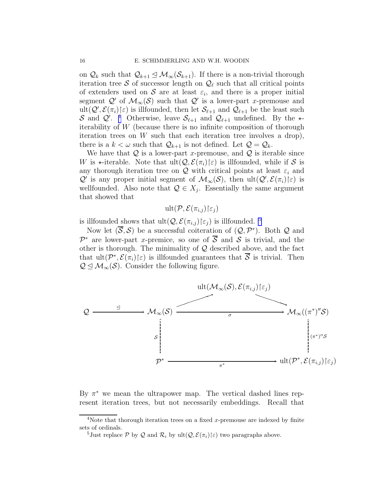on  $\mathcal{Q}_k$  such that  $\mathcal{Q}_{k+1} \leq \mathcal{M}_{\infty}(\mathcal{S}_{k+1})$ . If there is a non-trivial thorough iteration tree S of successor length on  $\mathcal{Q}_{\ell}$  such that all critical points of extenders used on S are at least  $\varepsilon_i$ , and there is a proper initial segment  $\mathcal{Q}'$  of  $\mathcal{M}_{\infty}(\mathcal{S})$  such that  $\mathcal{Q}'$  is a lower-part x-premouse and ult $(Q',\mathcal{E}(\pi_i)\in)$  is illfounded, then let  $\mathcal{S}_{\ell+1}$  and  $\mathcal{Q}_{\ell+1}$  be the least such S and  $\mathcal{Q}'$ .<sup>4</sup> Otherwise, leave  $\mathcal{S}_{\ell+1}$  and  $\mathcal{Q}_{\ell+1}$  undefined. By the  $\star$ iterability of W (because there is no infinite composition of thorough iteration trees on  $W$  such that each iteration tree involves a drop), there is a  $k < \omega$  such that  $\mathcal{Q}_{k+1}$  is not defined. Let  $\mathcal{Q} = \mathcal{Q}_k$ .

We have that  $Q$  is a lower-part x-premouse, and  $Q$  is iterable since W is  $\star$ -iterable. Note that ult $(Q, \mathcal{E}(\pi_i)\vert \varepsilon)$  is illfounded, while if S is any thorough iteration tree on Q with critical points at least  $\varepsilon_i$  and  $\mathcal{Q}'$  is any proper initial segment of  $\mathcal{M}_{\infty}(\mathcal{S})$ , then  $ult(\mathcal{Q}', \mathcal{E}(\pi_i)\in)$  is wellfounded. Also note that  $\mathcal{Q} \in X_j$ . Essentially the same argument that showed that

 $ult(P, \mathcal{E}(\pi_{i,j}) | \epsilon_i)$ 

is illfounded shows that  $ult(Q, \mathcal{E}(\pi_{i,j})\vert \varepsilon_j)$  is illfounded. <sup>5</sup>

Now let  $(\overline{S}, S)$  be a successful coiteration of  $(Q, \mathcal{P}^*)$ . Both Q and  $\mathcal{P}^*$  are lower-part x-premice, so one of  $\overline{\mathcal{S}}$  and  $\mathcal{S}$  is trivial, and the other is thorough. The minimality of  $Q$  described above, and the fact that  $ult(P^*, \mathcal{E}(\pi_i)\vert \varepsilon)$  is illfounded guarantees that  $\overline{S}$  is trivial. Then  $\mathcal{Q} \leq \mathcal{M}_{\infty}(\mathcal{S})$ . Consider the following figure.



By  $\pi^*$  we mean the ultrapower map. The vertical dashed lines represent iteration trees, but not necessarily embeddings. Recall that

<sup>&</sup>lt;sup>4</sup>Note that thorough iteration trees on a fixed x-premouse are indexed by finite sets of ordinals.

<sup>&</sup>lt;sup>5</sup>Just replace P by Q and  $\mathcal{R}_i$  by ult $(\mathcal{Q}, \mathcal{E}(\pi_i) | \varepsilon)$  two paragraphs above.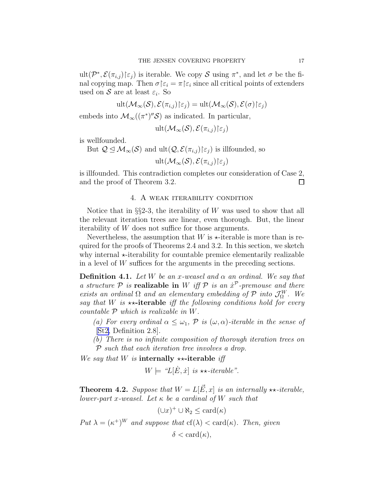ult $(\mathcal{P}^*, \mathcal{E}(\pi_{i,j}) | \epsilon_j)$  is iterable. We copy S using  $\pi^*$ , and let  $\sigma$  be the final copying map. Then  $\sigma \mid \epsilon_i = \pi \mid \epsilon_i$  since all critical points of extenders used on  $S$  are at least  $\varepsilon_i$ . So

$$
\mathrm{ult}(\mathcal{M}_{\infty}(\mathcal{S}), \mathcal{E}(\pi_{i,j})|\epsilon_j) = \mathrm{ult}(\mathcal{M}_{\infty}(\mathcal{S}), \mathcal{E}(\sigma)|\epsilon_j)
$$

embeds into  $\mathcal{M}_{\infty}((\pi^*)''\mathcal{S})$  as indicated. In particular,

ult $(\mathcal{M}_{\infty}(\mathcal{S}), \mathcal{E}(\pi_{i,j})\vert \varepsilon_{i})$ 

is wellfounded.

But  $\mathcal{Q} \leq \mathcal{M}_{\infty}(\mathcal{S})$  and  $ult(\mathcal{Q}, \mathcal{E}(\pi_{i,j}) | \varepsilon_{j})$  is illfounded, so

ult $(\mathcal{M}_{\infty}(\mathcal{S}), \mathcal{E}(\pi_{i,j})\vert \varepsilon_i)$ 

is illfounded. This contradiction completes our consideration of Case 2, and the proof of Theorem 3.2.  $\Box$ 

# 4. A weak iterability condition

Notice that in  $\S$ 2-3, the iterability of W was used to show that all the relevant iteration trees are linear, even thorough. But, the linear iterability of W does not suffice for those arguments.

Nevertheless, the assumption that  $W$  is  $\star$ -iterable is more than is required for the proofs of Theorems 2.4 and 3.2. In this section, we sketch why internal  $\star$ -iterability for countable premice elementarily realizable in a level of W suffices for the arguments in the preceding sections.

**Definition 4.1.** Let W be an x-weasel and  $\alpha$  an ordinal. We say that a structure  $P$  is **realizable in** W iff  $P$  is an  $\dot{x}^P$ -premouse and there exists an ordinal  $\Omega$  and an elementary embedding of  $\mathcal{P}$  into  $\mathcal{J}_{\Omega}^{W}$ . We say that W is  $\star\star$ -iterable iff the following conditions hold for every countable  $P$  which is realizable in  $W$ .

- (a) For every ordinal  $\alpha \leq \omega_1$ ,  $\mathcal P$  is  $(\omega, \alpha)$ -iterable in the sense of [\[St2,](#page-23-0) Definition 2.8].
- (b) There is no infinite composition of thorough iteration trees on P such that each iteration tree involves a drop.

We say that W is internally  $\star\star\text{-}$  iterable iff

$$
W \models \text{``}L[\dot{E}, \dot{x}] \text{ is } \star\star\text{-}iterable''.
$$

**Theorem 4.2.** Suppose that  $W = L[\vec{E}, x]$  is an internally  $\star\star\text{-}iterable$ , lower-part x-weasel. Let  $\kappa$  be a cardinal of W such that

$$
(\cup x)^+ \cup \aleph_2 \le \operatorname{card}(\kappa)
$$

Put  $\lambda = (\kappa^+)^W$  and suppose that  $cf(\lambda) < \text{card}(\kappa)$ . Then, given

$$
\delta < \operatorname{card}(\kappa),
$$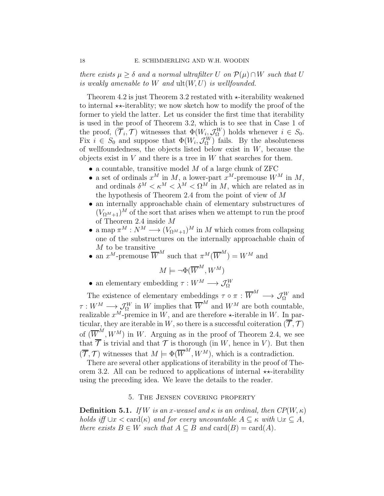there exists  $\mu \geq \delta$  and a normal ultrafilter U on  $\mathcal{P}(\mu) \cap W$  such that U is weakly amenable to W and  $ult(W, U)$  is wellfounded.

Theorem 4.2 is just Theorem 3.2 restated with  $\star$ -iterability weakened to internal  $\star\star$ -iterablity; we now sketch how to modify the proof of the former to yield the latter. Let us consider the first time that iterability is used in the proof of Theorem 3.2, which is to see that in Case 1 of the proof,  $(\overline{\mathcal{T}}_i, \mathcal{T})$  witnesses that  $\Phi(W_i, \mathcal{J}_{\Omega}^W)$  holds whenever  $i \in S_0$ . Fix  $i \in S_0$  and suppose that  $\Phi(W_i, \mathcal{J}_{\Omega}^W)$  fails. By the absoluteness of wellfoundedness, the objects listed below exist in  $W$ , because the objects exist in  $V$  and there is a tree in  $W$  that searches for them.

- $\bullet$  a countable, transitive model M of a large chunk of ZFC
- a set of ordinals  $x^M$  in M, a lower-part  $x^M$ -premouse  $W^M$  in M, and ordinals  $\delta^M < \kappa^M < \lambda^M < \Omega^M$  in M, which are related as in the hypothesis of Theorem 2.4 from the point of view of  $M$
- an internally approachable chain of elementary substructures of  $(V_{\Omega^{M}+1})^{M}$  of the sort that arises when we attempt to run the proof of Theorem 2.4 inside M
- a map  $\pi^M : N^M \longrightarrow (V_{\Omega^M+1})^M$  in M which comes from collapsing one of the substructures on the internally approachable chain of M to be transitive
- an  $x^M$ -premouse  $\overline{W}^M$  such that  $\pi^M(\overline{W}^M) = W^M$  and

$$
M \models \neg \Phi(\overline{W}^M, W^M)
$$

• an elementary embedding  $\tau: W^M \longrightarrow \mathcal{J}_{\Omega}^W$ 

The existence of elementary embeddings  $\tau \circ \pi : \overline{W}^M \longrightarrow \mathcal{J}_{\Omega}^W$  and  $\tau: W^M \longrightarrow \mathcal{J}_{\Omega}^W$  in W implies that  $\overline{W}^M$  and  $W^M$  are both countable, realizable  $x^M$ -premice in W, and are therefore  $\star$ -iterable in W. In particular, they are iterable in W, so there is a successful coiteration  $(\overline{\mathcal{T}}, \mathcal{T})$ of  $(\overline{W}^{M}, W^{M})$  in W. Arguing as in the proof of Theorem 2.4, we see that  $\overline{\mathcal{T}}$  is trivial and that  $\overline{\mathcal{T}}$  is thorough (in W, hence in V). But then  $(\overline{\mathcal{T}}, \mathcal{T})$  witnesses that  $M \models \Phi(\overline{W}^M, W^M)$ , which is a contradiction.

There are several other applications of iterability in the proof of Theorem 3.2. All can be reduced to applications of internal  $\star\star\text{-}$  iterability using the preceding idea. We leave the details to the reader.

### 5. The Jensen covering property

**Definition 5.1.** If W is an x-weasel and  $\kappa$  is an ordinal, then  $CP(W, \kappa)$ holds iff  $\cup x < \text{card}(\kappa)$  and for every uncountable  $A \subseteq \kappa$  with  $\cup x \subseteq A$ , there exists  $B \in W$  such that  $A \subseteq B$  and  $card(B) = card(A)$ .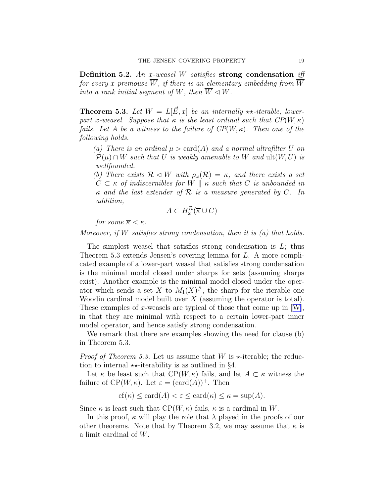Definition 5.2. An x-weasel W satisfies strong condensation iff for every x-premouse  $\overline{W}$ , if there is an elementary embedding from  $\overline{W}$ into a rank initial sequent of W, then  $\overline{W} \triangleleft W$ .

**Theorem 5.3.** Let  $W = L[\vec{E}, x]$  be an internally \*\*-iterable, lowerpart x-weasel. Suppose that  $\kappa$  is the least ordinal such that  $CP(W, \kappa)$ fails. Let A be a witness to the failure of  $CP(W, \kappa)$ . Then one of the following holds.

(a) There is an ordinal  $\mu > \text{card}(A)$  and a normal ultrafilter U on  $P(\mu) \cap W$  such that U is weakly amenable to W and  $ult(W, U)$  is wellfounded.

(b) There exists  $\mathcal{R} \triangleleft W$  with  $\rho_{\omega}(\mathcal{R}) = \kappa$ , and there exists a set  $C \subset \kappa$  of indiscernibles for W ||  $\kappa$  such that C is unbounded in  $\kappa$  and the last extender of  $\mathcal R$  is a measure generated by C. In addition,

$$
A \subset H^{\mathcal{R}}_{\omega}(\overline{\kappa} \cup C)
$$

for some  $\overline{\kappa} < \kappa$ .

Moreover, if W satisfies strong condensation, then it is  $(a)$  that holds.

The simplest weasel that satisfies strong condensation is  $L$ ; thus Theorem 5.3 extends Jensen's covering lemma for L. A more complicated example of a lower-part weasel that satisfies strong condensation is the minimal model closed under sharps for sets (assuming sharps exist). Another example is the minimal model closed under the operator which sends a set X to  $M_1(X)^\#$ , the sharp for the iterable one Woodin cardinal model built over  $X$  (assuming the operator is total). Theseexamples of x-weasels are typical of those that come up in  $[W]$  $[W]$ , in that they are minimal with respect to a certain lower-part inner model operator, and hence satisfy strong condensation.

We remark that there are examples showing the need for clause (b) in Theorem 5.3.

*Proof of Theorem 5.3.* Let us assume that W is  $\star$ -iterable; the reduction to internal  $\star\star$ -iterability is as outlined in §4.

Let  $\kappa$  be least such that  $\mathbb{CP}(W,\kappa)$  fails, and let  $A \subset \kappa$  witness the failure of  $CP(W, \kappa)$ . Let  $\varepsilon = (card(A))^+$ . Then

$$
cf(\kappa) \le \operatorname{card}(A) < \varepsilon \le \operatorname{card}(\kappa) \le \kappa = \sup(A).
$$

Since  $\kappa$  is least such that  $\mathcal{CP}(W,\kappa)$  fails,  $\kappa$  is a cardinal in W.

In this proof,  $\kappa$  will play the role that  $\lambda$  played in the proofs of our other theorems. Note that by Theorem 3.2, we may assume that  $\kappa$  is a limit cardinal of W.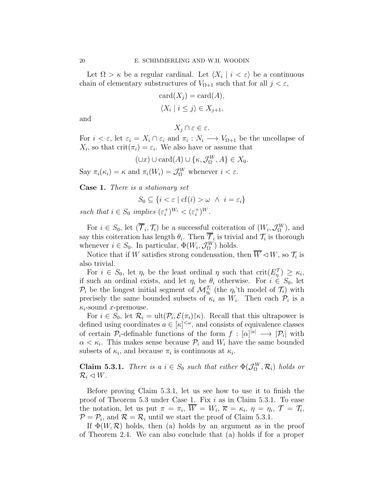Let  $\Omega > \kappa$  be a regular cardinal. Let  $\langle X_i | i < \varepsilon \rangle$  be a continuous chain of elementary substructures of  $V_{\Omega+1}$  such that for all  $j < \varepsilon$ ,

$$
card(X_j) = card(A),
$$
  

$$
\langle X_i \mid i \leq j \rangle \in X_{j+1},
$$

and

Say  $\pi_i(\kappa_i)$ 

 $X_i \cap \varepsilon \in \varepsilon$ .

For  $i < \varepsilon$ , let  $\varepsilon_i = X_i \cap \varepsilon_i$  and  $\pi_i : N_i \longrightarrow V_{\Omega+1}$  be the uncollapse of  $X_i$ , so that  $\text{crit}(\pi_i) = \varepsilon_i$ . We also have or assume that

$$
(\cup x) \cup \text{card}(A) \cup \{\kappa, \mathcal{J}_{\Omega}^{W}, A\} \in X_{0}.
$$
  
=  $\kappa$  and  $\pi_{i}(W_{i}) = \mathcal{J}_{\Omega}^{W}$  whenever  $i < \varepsilon$ .

Case 1. There is a stationary set

$$
S_0 \subseteq \{ i < \varepsilon \mid \text{cf}(i) > \omega \ \land \ i = \varepsilon_i \}
$$

such that  $i \in S_0$  implies  $(\varepsilon_i^+)^{W_i} < (\varepsilon_i^+)^W$ .

For  $i \in S_0$ , let  $(\overline{\mathcal{T}}_i, \mathcal{T}_i)$  be a successful coiteration of  $(W_i, \mathcal{J}_\Omega^W)$ , and say this coiteration has length  $\theta_i$ . Then  $\mathcal{T}_i$  is trivial and  $\mathcal{T}_i$  is thorough whenever  $i \in S_0$ . In particular,  $\Phi(W_i, \mathcal{J}_\Omega^W)$  holds.

Notice that if W satisfies strong condensation, then  $\overline{W} \triangleleft W$ , so  $\mathcal{T}_i$  is also trivial.

For  $i \in S_0$ , let  $\eta_i$  be the least ordinal  $\eta$  such that  $\mathrm{crit}(E_\eta^\mathcal{T}) \geq \kappa_i$ , if such an ordinal exists, and let  $\eta_i$  be  $\theta_i$  otherwise. For  $i \in S_0$ , let  $\mathcal{P}_i$  be the longest initial segment of  $\mathcal{M}_{\eta_i}^{\mathcal{T}_i}$  (the  $\eta_i$ 'th model of  $\mathcal{T}_i$ ) with precisely the same bounded subsets of  $\kappa_i$  as  $W_i$ . Then each  $\mathcal{P}_i$  is a  $\kappa_i$ -sound *x*-premouse.

For  $i \in S_0$ , let  $\mathcal{R}_i = \text{ult}(\mathcal{P}_i, \mathcal{E}(\pi_i) | \kappa)$ . Recall that this ultrapower is defined using coordinates  $a \in [\kappa]^{<\omega}$ , and consists of equivalence classes of certain  $\mathcal{P}_i$ -definable functions of the form  $f: [\alpha]^{|a|} \longrightarrow |\mathcal{P}_i|$  with  $\alpha < \kappa_i$ . This makes sense because  $\mathcal{P}_i$  and  $W_i$  have the same bounded subsets of  $\kappa_i$ , and because  $\pi_i$  is continuous at  $\kappa_i$ .

**Claim 5.3.1.** There is a  $i \in S_0$  such that either  $\Phi(\mathcal{J}_\Omega^W, \mathcal{R}_i)$  holds or  $\mathcal{R}_i \triangleleft W$ .

Before proving Claim 5.3.1, let us see how to use it to finish the proof of Theorem 5.3 under Case 1. Fix i as in Claim 5.3.1. To ease the notation, let us put  $\pi = \pi_i$ ,  $W = W_i$ ,  $\overline{\kappa} = \kappa_i$ ,  $\eta = \eta_i$ ,  $\mathcal{T} = \mathcal{T}_i$ ,  $P = P_i$ , and  $R = R_i$  until we start the proof of Claim 5.3.1.

If  $\Phi(W,\mathcal{R})$  holds, then (a) holds by an argument as in the proof of Theorem 2.4. We can also conclude that (a) holds if for a proper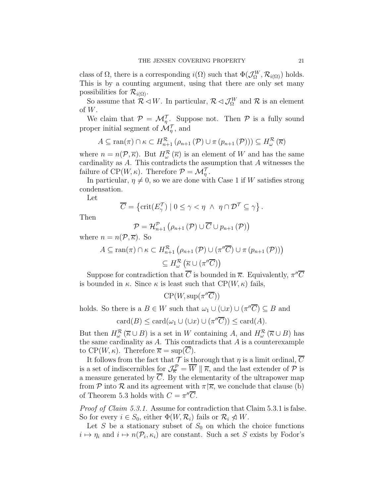class of  $\Omega$ , there is a corresponding  $i(\Omega)$  such that  $\Phi(\mathcal{J}_{\Omega}^{W}, \mathcal{R}_{i(\Omega)})$  holds. This is by a counting argument, using that there are only set many possibilities for  $\mathcal{R}_{i(\Omega)}$ .

So assume that  $\mathcal{R} \lhd W$ . In particular,  $\mathcal{R} \lhd \mathcal{J}_{\Omega}^W$  and  $\mathcal{R}$  is an element of W.

We claim that  $\mathcal{P} = \mathcal{M}_{\eta}^{\mathcal{T}}$ . Suppose not. Then  $\mathcal{P}$  is a fully sound proper initial segment of  $\mathcal{M}_{\eta}^{\mathcal{T}}$ , and

$$
A \subseteq \text{ran}(\pi) \cap \kappa \subset H_{n+1}^{\mathcal{R}}\left(\rho_{n+1}\left(\mathcal{P}\right) \cup \pi\left(p_{n+1}\left(\mathcal{P}\right)\right)\right) \subseteq H_{\omega}^{\mathcal{R}}\left(\overline{\kappa}\right)
$$

where  $n = n(\mathcal{P}, \overline{\kappa})$ . But  $H^{\mathcal{R}}_{\omega}(\overline{\kappa})$  is an element of W and has the same cardinality as  $A$ . This contradicts the assumption that  $A$  witnesses the failure of  $\text{CP}(W,\kappa)$ . Therefore  $\mathcal{P} = \mathcal{M}_{\eta}^{\mathcal{T}}$ .

In particular,  $\eta \neq 0$ , so we are done with Case 1 if W satisfies strong condensation.

Let

$$
\overline{C} = \{ \text{crit}(E_{\gamma}^{\mathcal{T}}) \mid 0 \leq \gamma < \eta \ \land \ \eta \cap \mathcal{D}^{\mathcal{T}} \subseteq \gamma \} \, .
$$

Then

$$
\mathcal{P} = \mathcal{H}_{n+1}^{\mathcal{P}}(\rho_{n+1}(\mathcal{P}) \cup \overline{C} \cup p_{n+1}(\mathcal{P}))
$$

where  $n = n(\mathcal{P}, \overline{\kappa})$ . So

$$
A \subseteq \text{ran}(\pi) \cap \kappa \subset H_{n+1}^{\mathcal{R}}\left(\rho_{n+1}\left(\mathcal{P}\right) \cup \left(\pi''\overline{C}\right) \cup \pi\left(p_{n+1}\left(\mathcal{P}\right)\right)\right) \subseteq H_{\omega}^{\mathcal{R}}\left(\overline{\kappa} \cup \left(\pi''\overline{C}\right)\right)
$$

Suppose for contradiction that  $\overline{C}$  is bounded in  $\overline{\kappa}$ . Equivalently,  $\pi''\overline{C}$ is bounded in  $\kappa$ . Since  $\kappa$  is least such that  $\mathcal{CP}(W,\kappa)$  fails,

 $\mathrm{CP}(W, \mathrm{sup}(\pi''\overline{C}))$ 

holds. So there is a  $B \in W$  such that  $\omega_1 \cup (\cup x) \cup (\pi''\overline{C}) \subseteq B$  and

 $card(B) \leq card(\omega_1 \cup (\cup x) \cup (\pi''\overline{C})) \leq card(A).$ 

But then  $H^{\mathcal{R}}_{\omega}(\overline{\kappa} \cup B)$  is a set in W containing A, and  $H^{\mathcal{R}}_{\omega}(\overline{\kappa} \cup B)$  has the same cardinality as  $A$ . This contradicts that  $A$  is a counterexample to  $\text{CP}(W,\kappa)$ . Therefore  $\overline{\kappa} = \text{sup}(\overline{C})$ .

It follows from the fact that  $\mathcal T$  is thorough that  $\eta$  is a limit ordinal,  $\overline{C}$ is a set of indiscernibles <u>for</u>  $\mathcal{J}_{\overline{\kappa}}^{\mathcal{P}} = \overline{W} \parallel \overline{\kappa}$ , and the last extender of  $\mathcal P$  is a measure generated by  $\overline{C}$ . By the elementarity of the ultrapower map from P into R and its agreement with  $\pi \nvert \overline{\kappa}$ , we conclude that clause (b) of Theorem 5.3 holds with  $C = \pi''\overline{C}$ .

Proof of Claim 5.3.1. Assume for contradiction that Claim 5.3.1 is false. So for every  $i \in S_0$ , either  $\Phi(W, \mathcal{R}_i)$  fails or  $\mathcal{R}_i \ntriangleleft W$ .

Let S be a stationary subset of  $S_0$  on which the choice functions  $i \mapsto \eta_i$  and  $i \mapsto n(\mathcal{P}_i, \kappa_i)$  are constant. Such a set S exists by Fodor's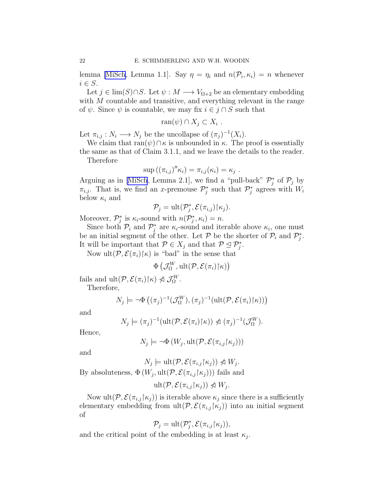lemma [\[MiSch](#page-22-0), Lemma 1.1]. Say  $\eta = \eta_i$  and  $n(\mathcal{P}_i, \kappa_i) = n$  whenever  $i \in S$ .

Let  $j \in \text{lim}(S) \cap S$ . Let  $\psi : M \longrightarrow V_{\Omega+2}$  be an elementary embedding with M countable and transitive, and everything relevant in the range of  $\psi$ . Since  $\psi$  is countable, we may fix  $i \in j \cap S$  such that

$$
\operatorname{ran}(\psi) \cap X_j \subset X_i .
$$

Let  $\pi_{i,j}: N_i \longrightarrow N_j$  be the uncollapse of  $(\pi_j)^{-1}(X_i)$ .

We claim that  $ran(\psi) \cap \kappa$  is unbounded in  $\kappa$ . The proof is essentially the same as that of Claim 3.1.1, and we leave the details to the reader.

Therefore

$$
\sup ((\pi_{i,j})'' \kappa_i) = \pi_{i,j}(\kappa_i) = \kappa_j.
$$

Arguingas in [[MiSch](#page-22-0), Lemma 2.1], we find a "pull-back"  $\mathcal{P}_j^*$  of  $\mathcal{P}_j$  by  $\pi_{i,j}$ . That is, we find an x-premouse  $\mathcal{P}_j^*$  such that  $\mathcal{P}_j^*$  agrees with  $W_i$ below  $\kappa_i$  and

$$
\mathcal{P}_j = \text{ult}(\mathcal{P}_j^*, \mathcal{E}(\pi_{i,j}) | \kappa_j).
$$

Moreover,  $\mathcal{P}_j^*$  is  $\kappa_i$ -sound with  $n(\mathcal{P}_j^*, \kappa_i) = n$ .

Since both  $\mathcal{P}_i$  and  $\mathcal{P}_j^*$  are  $\kappa_i$ -sound and iterable above  $\kappa_i$ , one must be an initial segment of the other. Let  $P$  be the shorter of  $P_i$  and  $P_j^*$ . It will be important that  $\mathcal{P} \in X_j$  and that  $\mathcal{P} \subseteq \mathcal{P}_j^*$ .

Now ult $(\mathcal{P}, \mathcal{E}(\pi_i)\upharpoonright \kappa)$  is "bad" in the sense that

$$
\Phi\left(\mathcal{J}^W_{\Omega}, {\rm ult}(\mathcal{P}, \mathcal{E}(\pi_i) \!\upharpoonright\!\! \kappa)\right)
$$

fails and  $ult(P, \mathcal{E}(\pi_i) | \kappa) \ntriangleleft \mathcal{J}_{\Omega}^W$ .

Therefore,

$$
N_j \models \neg \Phi ((\pi_j)^{-1}(\mathcal{J}_{\Omega}^W), (\pi_j)^{-1}(\mathrm{ult}(\mathcal{P}, \mathcal{E}(\pi_i) \upharpoonright \kappa)))
$$

and

$$
N_j \models (\pi_j)^{-1}(\mathrm{ult}(\mathcal{P}, \mathcal{E}(\pi_i)|\kappa)) \not\vartriangleleft (\pi_j)^{-1}(\mathcal{J}_{\Omega}^W).
$$

Hence,

$$
N_j \models \neg \Phi(W_j, \text{ult}(\mathcal{P}, \mathcal{E}(\pi_{i,j} \upharpoonright \kappa_j)))
$$

and

 $N_j \models \text{ult}(\mathcal{P}, \mathcal{E}(\pi_{i,j} \upharpoonright \kappa_j)) \ntriangleleft W_j.$ By absoluteness,  $\Phi(W_j, \text{ult}(\mathcal{P}, \mathcal{E}(\pi_{i,j} \mid \kappa_j)))$  fails and

$$
\text{ult}(\mathcal{P}, \mathcal{E}(\pi_{i,j} \upharpoonright \kappa_j)) \ntriangleleft W_j.
$$

Now ult $(\mathcal{P}, \mathcal{E}(\pi_{i,j}|\kappa_j))$  is iterable above  $\kappa_j$  since there is a sufficiently elementary embedding from  $ult(P, \mathcal{E}(\pi_{i,j}|\kappa_j))$  into an initial segment of

$$
\mathcal{P}_j = \text{ult}(\mathcal{P}_j^*, \mathcal{E}(\pi_{i,j} \upharpoonright \kappa_j)),
$$

and the critical point of the embedding is at least  $\kappa_j$ .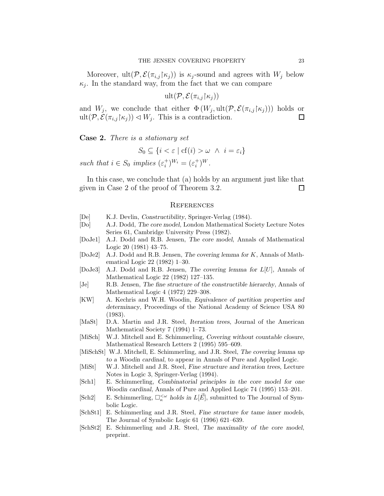<span id="page-22-0"></span>Moreover, ult $(\mathcal{P}, \mathcal{E}(\pi_{i,j}|\kappa_j))$  is  $\kappa_j$ -sound and agrees with  $W_j$  below  $\kappa_j$ . In the standard way, from the fact that we can compare

$$
\mathrm{ult}(\mathcal{P}, \mathcal{E}(\pi_{i,j} \restriction \kappa_j))
$$

and  $W_j$ , we conclude that either  $\Phi(W_j, \text{ult}(\mathcal{P}, \mathcal{E}(\pi_{i,j} \mid \kappa_j)))$  holds or  $ult(\mathcal{P}, \mathcal{E}(\pi_{i,j}|\kappa_j)) \triangleleft W_j$ . This is a contradiction.  $\Box$ 

Case 2. There is a stationary set

$$
S_0 \subseteq \{ i < \varepsilon \mid \text{cf}(i) > \omega \ \land \ i = \varepsilon_i \}
$$

such that  $i \in S_0$  implies  $(\varepsilon_i^+)^{W_i} = (\varepsilon_i^+)^W$ .

In this case, we conclude that (a) holds by an argument just like that given in Case 2 of the proof of Theorem 3.2.  $\Box$ 

#### **REFERENCES**

- [De] K.J. Devlin, Constructibility, Springer-Verlag (1984).
- [Do] A.J. Dodd, The core model, London Mathematical Society Lecture Notes Series 61, Cambridge University Press (1982).
- [DoJe1] A.J. Dodd and R.B. Jensen, The core model, Annals of Mathematical Logic 20 (1981) 43–75.
- [DoJe2] A.J. Dodd and R.B. Jensen, The covering lemma for K, Annals of Mathematical Logic 22 (1982) 1–30.
- [DoJe3] A.J. Dodd and R.B. Jensen, The covering lemma for L[U], Annals of Mathematical Logic 22 (1982) 127–135.
- [Je] R.B. Jensen, The fine structure of the constructible hierarchy, Annals of Mathematical Logic 4 (1972) 229–308.
- [KW] A. Kechris and W.H. Woodin, Equivalence of partition properties and determinacy, Proceedings of the National Academy of Science USA 80 (1983).
- [MaSt] D.A. Martin and J.R. Steel, Iteration trees, Journal of the American Mathematical Society 7 (1994) 1–73.
- [MiSch] W.J. Mitchell and E. Schimmerling, Covering without countable closure, Mathematical Research Letters 2 (1995) 595–609.
- [MiSchSt] W.J. Mitchell, E. Schimmerling, and J.R. Steel, The covering lemma up to a Woodin cardinal, to appear in Annals of Pure and Applied Logic.
- [MiSt] W.J. Mitchell and J.R. Steel, Fine structure and iteration trees, Lecture Notes in Logic 3, Springer-Verlag (1994).
- [Sch1] E. Schimmerling, Combinatorial principles in the core model for one Woodin cardinal, Annals of Pure and Applied Logic 74 (1995) 153–201.
- [Sch2] E. Schimmerling,  $\Box_{\kappa}^{\langle \omega \rangle}$  holds in  $L[\vec{E}]$ , submitted to The Journal of Symbolic Logic.
- [SchSt1] E. Schimmerling and J.R. Steel, Fine structure for tame inner models, The Journal of Symbolic Logic 61 (1996) 621–639.
- [SchSt2] E. Schimmerling and J.R. Steel, The maximality of the core model, preprint.